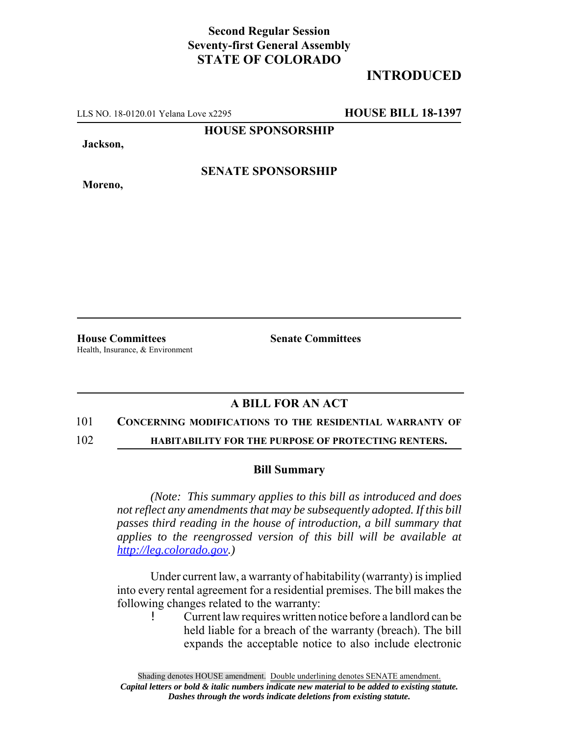## **Second Regular Session Seventy-first General Assembly STATE OF COLORADO**

# **INTRODUCED**

LLS NO. 18-0120.01 Yelana Love x2295 **HOUSE BILL 18-1397**

**HOUSE SPONSORSHIP**

**Jackson,**

**Moreno,**

**SENATE SPONSORSHIP**

**House Committees Senate Committees** Health, Insurance, & Environment

## **A BILL FOR AN ACT**

#### 101 **CONCERNING MODIFICATIONS TO THE RESIDENTIAL WARRANTY OF**

102 **HABITABILITY FOR THE PURPOSE OF PROTECTING RENTERS.**

### **Bill Summary**

*(Note: This summary applies to this bill as introduced and does not reflect any amendments that may be subsequently adopted. If this bill passes third reading in the house of introduction, a bill summary that applies to the reengrossed version of this bill will be available at http://leg.colorado.gov.)*

Under current law, a warranty of habitability (warranty) is implied into every rental agreement for a residential premises. The bill makes the following changes related to the warranty:

! Current law requires written notice before a landlord can be held liable for a breach of the warranty (breach). The bill expands the acceptable notice to also include electronic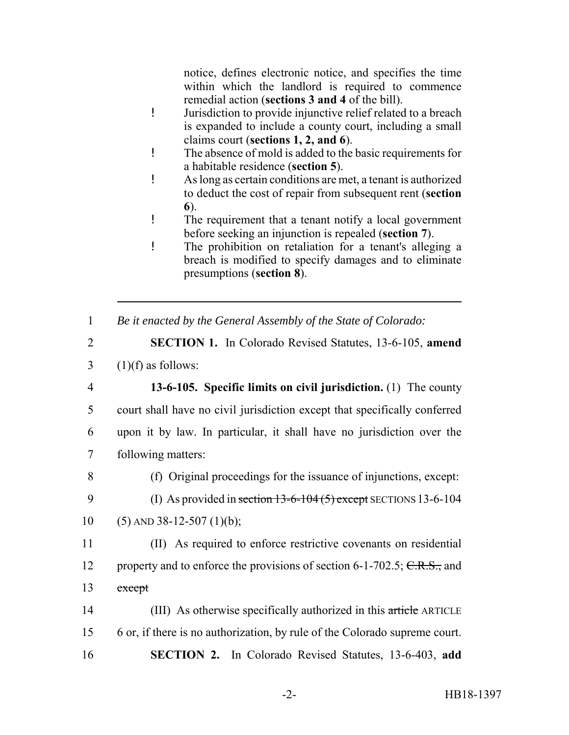notice, defines electronic notice, and specifies the time within which the landlord is required to commence remedial action (**sections 3 and 4** of the bill).

- ! Jurisdiction to provide injunctive relief related to a breach is expanded to include a county court, including a small claims court (**sections 1, 2, and 6**).
- ! The absence of mold is added to the basic requirements for a habitable residence (**section 5**).
- ! As long as certain conditions are met, a tenant is authorized to deduct the cost of repair from subsequent rent (**section 6**).
- ! The requirement that a tenant notify a local government before seeking an injunction is repealed (**section 7**).
- ! The prohibition on retaliation for a tenant's alleging a breach is modified to specify damages and to eliminate presumptions (**section 8**).
- 1 *Be it enacted by the General Assembly of the State of Colorado:*
- 2 **SECTION 1.** In Colorado Revised Statutes, 13-6-105, **amend**  $3 \quad (1)(f)$  as follows:
- 4 **13-6-105. Specific limits on civil jurisdiction.** (1) The county 5 court shall have no civil jurisdiction except that specifically conferred 6 upon it by law. In particular, it shall have no jurisdiction over the 7 following matters:
- 
- 8 (f) Original proceedings for the issuance of injunctions, except:
- 9 (I) As provided in section 13-6-104 (5) except SECTIONS 13-6-104
- 10 (5) AND 38-12-507 (1)(b);
- 11 (II) As required to enforce restrictive covenants on residential 12 property and to enforce the provisions of section 6-1-702.5;  $C.R.S.,$  and 13 except
- 14 (III) As otherwise specifically authorized in this article ARTICLE 15 6 or, if there is no authorization, by rule of the Colorado supreme court. 16 **SECTION 2.** In Colorado Revised Statutes, 13-6-403, **add**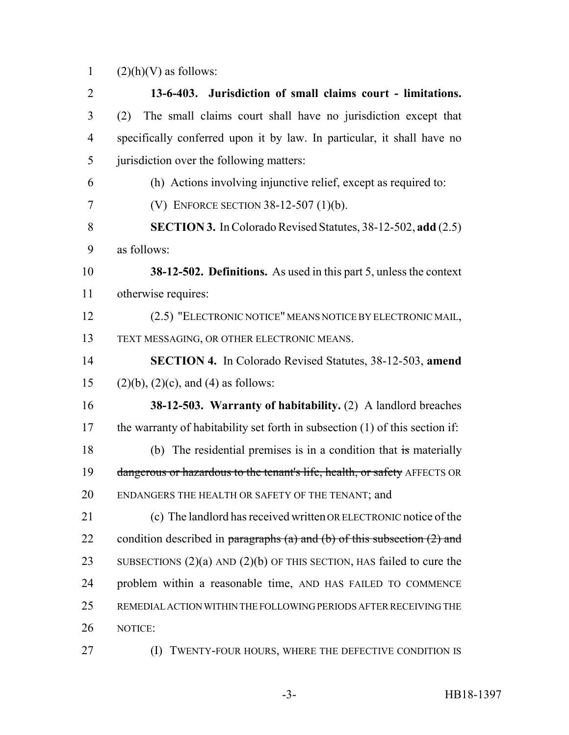1  $(2)(h)(V)$  as follows:

 **13-6-403. Jurisdiction of small claims court - limitations.** (2) The small claims court shall have no jurisdiction except that specifically conferred upon it by law. In particular, it shall have no jurisdiction over the following matters: (h) Actions involving injunctive relief, except as required to: (V) ENFORCE SECTION 38-12-507 (1)(b). **SECTION 3.** In Colorado Revised Statutes, 38-12-502, **add** (2.5) as follows: **38-12-502. Definitions.** As used in this part 5, unless the context otherwise requires: (2.5) "ELECTRONIC NOTICE" MEANS NOTICE BY ELECTRONIC MAIL, TEXT MESSAGING, OR OTHER ELECTRONIC MEANS. **SECTION 4.** In Colorado Revised Statutes, 38-12-503, **amend** 15 (2)(b), (2)(c), and (4) as follows: **38-12-503. Warranty of habitability.** (2) A landlord breaches the warranty of habitability set forth in subsection (1) of this section if: (b) The residential premises is in a condition that is materially 19 dangerous or hazardous to the tenant's life, health, or safety AFFECTS OR ENDANGERS THE HEALTH OR SAFETY OF THE TENANT; and (c) The landlord has received written OR ELECTRONIC notice of the 22 condition described in paragraphs (a) and (b) of this subsection  $(2)$  and 23 SUBSECTIONS (2)(a) AND (2)(b) OF THIS SECTION, HAS failed to cure the problem within a reasonable time, AND HAS FAILED TO COMMENCE REMEDIAL ACTION WITHIN THE FOLLOWING PERIODS AFTER RECEIVING THE NOTICE: (I) TWENTY-FOUR HOURS, WHERE THE DEFECTIVE CONDITION IS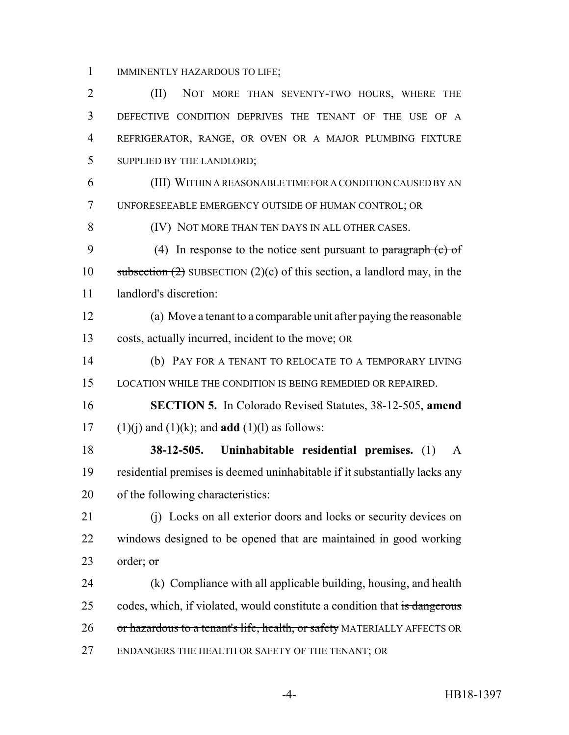IMMINENTLY HAZARDOUS TO LIFE;

2 (II) NOT MORE THAN SEVENTY-TWO HOURS, WHERE THE DEFECTIVE CONDITION DEPRIVES THE TENANT OF THE USE OF A REFRIGERATOR, RANGE, OR OVEN OR A MAJOR PLUMBING FIXTURE SUPPLIED BY THE LANDLORD; (III) WITHIN A REASONABLE TIME FOR A CONDITION CAUSED BY AN UNFORESEEABLE EMERGENCY OUTSIDE OF HUMAN CONTROL; OR (IV) NOT MORE THAN TEN DAYS IN ALL OTHER CASES. 9 (4) In response to the notice sent pursuant to paragraph (c) of 10 subsection  $(2)$  SUBSECTION  $(2)(c)$  of this section, a landlord may, in the landlord's discretion: (a) Move a tenant to a comparable unit after paying the reasonable costs, actually incurred, incident to the move; OR (b) PAY FOR A TENANT TO RELOCATE TO A TEMPORARY LIVING LOCATION WHILE THE CONDITION IS BEING REMEDIED OR REPAIRED. **SECTION 5.** In Colorado Revised Statutes, 38-12-505, **amend** 17 (1)(j) and (1)(k); and **add** (1)(l) as follows: **38-12-505. Uninhabitable residential premises.** (1) A residential premises is deemed uninhabitable if it substantially lacks any of the following characteristics:

 (j) Locks on all exterior doors and locks or security devices on windows designed to be opened that are maintained in good working 23 order;  $\sigma$ 

 (k) Compliance with all applicable building, housing, and health 25 codes, which, if violated, would constitute a condition that is dangerous 26 or hazardous to a tenant's life, health, or safety MATERIALLY AFFECTS OR ENDANGERS THE HEALTH OR SAFETY OF THE TENANT; OR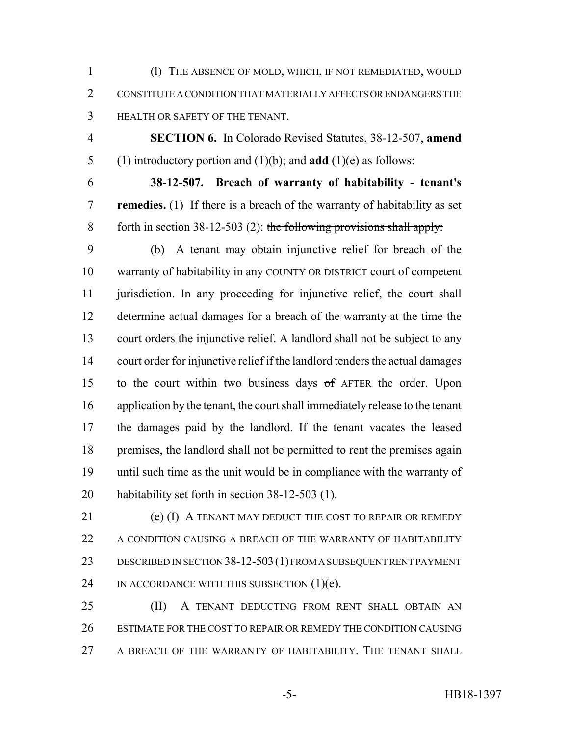(l) THE ABSENCE OF MOLD, WHICH, IF NOT REMEDIATED, WOULD CONSTITUTE A CONDITION THAT MATERIALLY AFFECTS OR ENDANGERS THE HEALTH OR SAFETY OF THE TENANT.

 **SECTION 6.** In Colorado Revised Statutes, 38-12-507, **amend** (1) introductory portion and (1)(b); and **add** (1)(e) as follows:

 **38-12-507. Breach of warranty of habitability - tenant's remedies.** (1) If there is a breach of the warranty of habitability as set 8 forth in section  $38-12-503$  (2): the following provisions shall apply:

 (b) A tenant may obtain injunctive relief for breach of the warranty of habitability in any COUNTY OR DISTRICT court of competent jurisdiction. In any proceeding for injunctive relief, the court shall determine actual damages for a breach of the warranty at the time the court orders the injunctive relief. A landlord shall not be subject to any court order for injunctive relief if the landlord tenders the actual damages to the court within two business days of AFTER the order. Upon application by the tenant, the court shall immediately release to the tenant the damages paid by the landlord. If the tenant vacates the leased premises, the landlord shall not be permitted to rent the premises again until such time as the unit would be in compliance with the warranty of habitability set forth in section 38-12-503 (1).

 (e) (I) A TENANT MAY DEDUCT THE COST TO REPAIR OR REMEDY 22 A CONDITION CAUSING A BREACH OF THE WARRANTY OF HABITABILITY DESCRIBED IN SECTION 38-12-503(1) FROM A SUBSEQUENT RENT PAYMENT IN ACCORDANCE WITH THIS SUBSECTION (1)(e).

 (II) A TENANT DEDUCTING FROM RENT SHALL OBTAIN AN ESTIMATE FOR THE COST TO REPAIR OR REMEDY THE CONDITION CAUSING A BREACH OF THE WARRANTY OF HABITABILITY. THE TENANT SHALL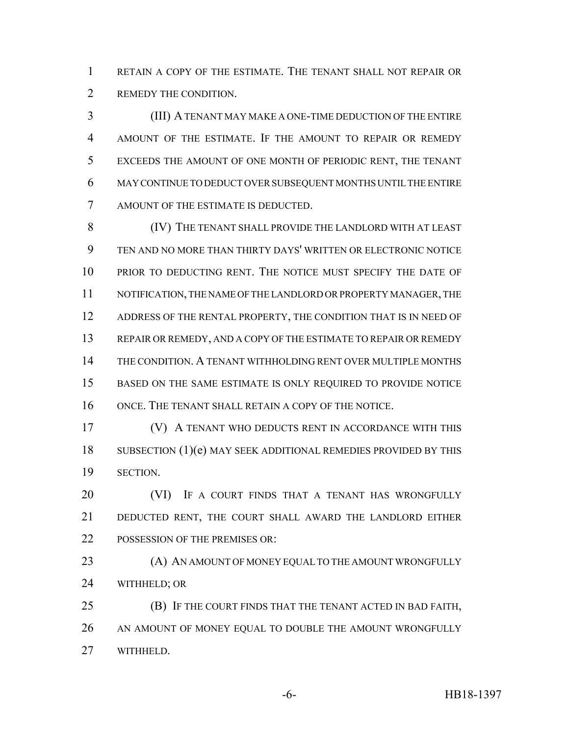RETAIN A COPY OF THE ESTIMATE. THE TENANT SHALL NOT REPAIR OR REMEDY THE CONDITION.

 (III) A TENANT MAY MAKE A ONE-TIME DEDUCTION OF THE ENTIRE AMOUNT OF THE ESTIMATE. IF THE AMOUNT TO REPAIR OR REMEDY EXCEEDS THE AMOUNT OF ONE MONTH OF PERIODIC RENT, THE TENANT MAY CONTINUE TO DEDUCT OVER SUBSEQUENT MONTHS UNTIL THE ENTIRE AMOUNT OF THE ESTIMATE IS DEDUCTED.

 (IV) THE TENANT SHALL PROVIDE THE LANDLORD WITH AT LEAST TEN AND NO MORE THAN THIRTY DAYS' WRITTEN OR ELECTRONIC NOTICE PRIOR TO DEDUCTING RENT. THE NOTICE MUST SPECIFY THE DATE OF NOTIFICATION, THE NAME OF THE LANDLORD OR PROPERTY MANAGER, THE 12 ADDRESS OF THE RENTAL PROPERTY, THE CONDITION THAT IS IN NEED OF 13 REPAIR OR REMEDY, AND A COPY OF THE ESTIMATE TO REPAIR OR REMEDY THE CONDITION. A TENANT WITHHOLDING RENT OVER MULTIPLE MONTHS BASED ON THE SAME ESTIMATE IS ONLY REQUIRED TO PROVIDE NOTICE ONCE. THE TENANT SHALL RETAIN A COPY OF THE NOTICE.

 (V) A TENANT WHO DEDUCTS RENT IN ACCORDANCE WITH THIS 18 SUBSECTION (1)(e) MAY SEEK ADDITIONAL REMEDIES PROVIDED BY THIS SECTION.

**(VI)** IF A COURT FINDS THAT A TENANT HAS WRONGFULLY DEDUCTED RENT, THE COURT SHALL AWARD THE LANDLORD EITHER 22 POSSESSION OF THE PREMISES OR:

**(A) AN AMOUNT OF MONEY EQUAL TO THE AMOUNT WRONGFULLY** WITHHELD; OR

 (B) IF THE COURT FINDS THAT THE TENANT ACTED IN BAD FAITH, 26 AN AMOUNT OF MONEY EQUAL TO DOUBLE THE AMOUNT WRONGFULLY WITHHELD.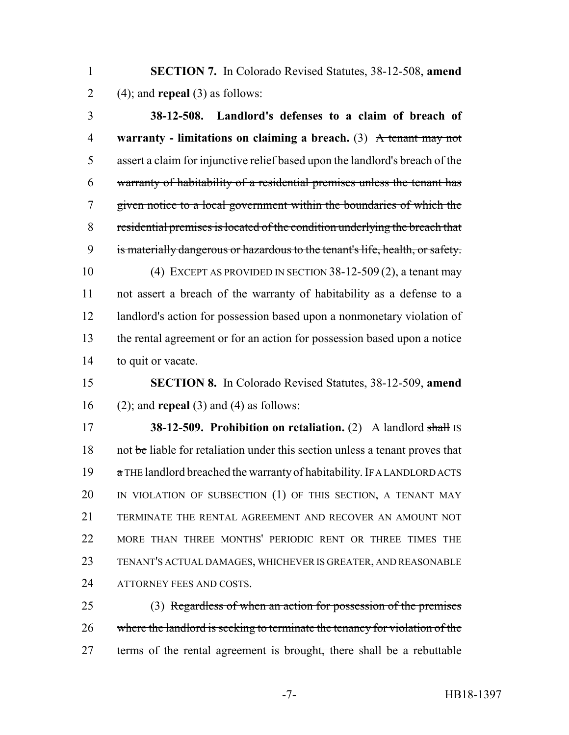**SECTION 7.** In Colorado Revised Statutes, 38-12-508, **amend** (4); and **repeal** (3) as follows:

 **38-12-508. Landlord's defenses to a claim of breach of warranty - limitations on claiming a breach.** (3) A tenant may not assert a claim for injunctive relief based upon the landlord's breach of the warranty of habitability of a residential premises unless the tenant has given notice to a local government within the boundaries of which the residential premises is located of the condition underlying the breach that is materially dangerous or hazardous to the tenant's life, health, or safety. (4) EXCEPT AS PROVIDED IN SECTION 38-12-509 (2), a tenant may not assert a breach of the warranty of habitability as a defense to a landlord's action for possession based upon a nonmonetary violation of the rental agreement or for an action for possession based upon a notice

to quit or vacate.

 **SECTION 8.** In Colorado Revised Statutes, 38-12-509, **amend** (2); and **repeal** (3) and (4) as follows:

 **38-12-509. Prohibition on retaliation.** (2) A landlord shall IS 18 not be liable for retaliation under this section unless a tenant proves that 19 a THE landlord breached the warranty of habitability. IF A LANDLORD ACTS IN VIOLATION OF SUBSECTION (1) OF THIS SECTION, A TENANT MAY TERMINATE THE RENTAL AGREEMENT AND RECOVER AN AMOUNT NOT MORE THAN THREE MONTHS' PERIODIC RENT OR THREE TIMES THE TENANT'S ACTUAL DAMAGES, WHICHEVER IS GREATER, AND REASONABLE 24 ATTORNEY FEES AND COSTS

 (3) Regardless of when an action for possession of the premises where the landlord is seeking to terminate the tenancy for violation of the terms of the rental agreement is brought, there shall be a rebuttable